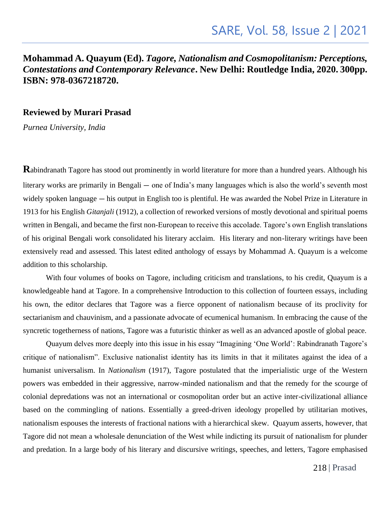## **Mohammad A. Quayum (Ed).** *Tagore, Nationalism and Cosmopolitanism: Perceptions, Contestations and Contemporary Relevance***. New Delhi: Routledge India, 2020. 300pp. ISBN: 978-0367218720.**

## **Reviewed by Murari Prasad**

*Purnea University, India*

**R**abindranath Tagore has stood out prominently in world literature for more than a hundred years. Although his literary works are primarily in Bengali — one of India's many languages which is also the world's seventh most widely spoken language — his output in English too is plentiful. He was awarded the Nobel Prize in Literature in 1913 for his English *Gitanjali* (1912), a collection of reworked versions of mostly devotional and spiritual poems written in Bengali, and became the first non-European to receive this accolade. Tagore's own English translations of his original Bengali work consolidated his literary acclaim. His literary and non-literary writings have been extensively read and assessed. This latest edited anthology of essays by Mohammad A. Quayum is a welcome addition to this scholarship.

With four volumes of books on Tagore, including criticism and translations, to his credit, Quayum is a knowledgeable hand at Tagore. In a comprehensive Introduction to this collection of fourteen essays, including his own, the editor declares that Tagore was a fierce opponent of nationalism because of its proclivity for sectarianism and chauvinism, and a passionate advocate of ecumenical humanism. In embracing the cause of the syncretic togetherness of nations, Tagore was a futuristic thinker as well as an advanced apostle of global peace.

Quayum delves more deeply into this issue in his essay "Imagining 'One World': Rabindranath Tagore's critique of nationalism". Exclusive nationalist identity has its limits in that it militates against the idea of a humanist universalism. In *Nationalism* (1917), Tagore postulated that the imperialistic urge of the Western powers was embedded in their aggressive, narrow-minded nationalism and that the remedy for the scourge of colonial depredations was not an international or cosmopolitan order but an active inter-civilizational alliance based on the commingling of nations. Essentially a greed-driven ideology propelled by utilitarian motives, nationalism espouses the interests of fractional nations with a hierarchical skew. Quayum asserts, however, that Tagore did not mean a wholesale denunciation of the West while indicting its pursuit of nationalism for plunder and predation. In a large body of his literary and discursive writings, speeches, and letters, Tagore emphasised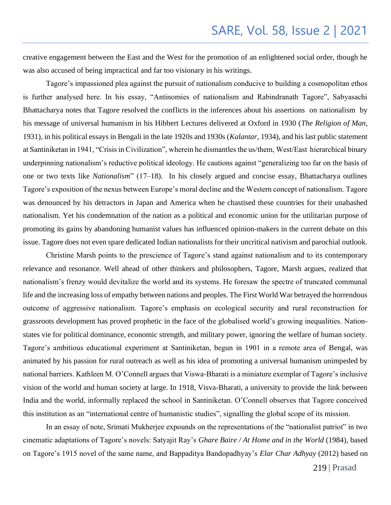creative engagement between the East and the West for the promotion of an enlightened social order, though he was also accused of being impractical and far too visionary in his writings.

Tagore's impassioned plea against the pursuit of nationalism conducive to building a cosmopolitan ethos is further analysed here. In his essay, "Antinomies of nationalism and Rabindranath Tagore", Sabyasachi Bhattacharya notes that Tagore resolved the conflicts in the inferences about his assertions on nationalism by his message of universal humanism in his Hibbert Lectures delivered at Oxford in 1930 (*The Religion of Man*, 1931), in his political essays in Bengali in the late 1920s and 1930s (*Kalantar*, 1934), and his last public statement at Santiniketan in 1941, "Crisis in Civilization", wherein he dismantles the us/them, West/East hierarchical binary underpinning nationalism's reductive political ideology. He cautions against "generalizing too far on the basis of one or two texts like *Nationalism*" (17–18). In his closely argued and concise essay, Bhattacharya outlines Tagore's exposition of the nexus between Europe's moral decline and the Western concept of nationalism. Tagore was denounced by his detractors in Japan and America when he chastised these countries for their unabashed nationalism. Yet his condemnation of the nation as a political and economic union for the utilitarian purpose of promoting its gains by abandoning humanist values has influenced opinion-makers in the current debate on this issue. Tagore does not even spare dedicated Indian nationalists for their uncritical nativism and parochial outlook.

 Christine Marsh points to the prescience of Tagore's stand against nationalism and to its contemporary relevance and resonance. Well ahead of other thinkers and philosophers, Tagore, Marsh argues, realized that nationalism's frenzy would devitalize the world and its systems. He foresaw the spectre of truncated communal life and the increasing loss of empathy between nations and peoples. The First World War betrayed the horrendous outcome of aggressive nationalism. Tagore's emphasis on ecological security and rural reconstruction for grassroots development has proved prophetic in the face of the globalised world's growing inequalities. Nationstates vie for political dominance, economic strength, and military power, ignoring the welfare of human society. Tagore's ambitious educational experiment at Santiniketan, begun in 1901 in a remote area of Bengal, was animated by his passion for rural outreach as well as his idea of promoting a universal humanism unimpeded by national barriers. Kathleen M. O'Connell argues that Viswa-Bharati is a miniature exemplar of Tagore's inclusive vision of the world and human society at large. In 1918, Visva-Bharati, a university to provide the link between India and the world, informally replaced the school in Santiniketan. O'Connell observes that Tagore conceived this institution as an "international centre of humanistic studies", signalling the global scope of its mission.

In an essay of note, Srimati Mukherjee expounds on the representations of the "nationalist patriot" in two cinematic adaptations of Tagore's novels: Satyajit Ray's *Ghare Baire / At Home and in the World* (1984), based on Tagore's 1915 novel of the same name, and Bappaditya Bandopadhyay's *Elar Char Adhyay* (2012) based on

219 | Prasad